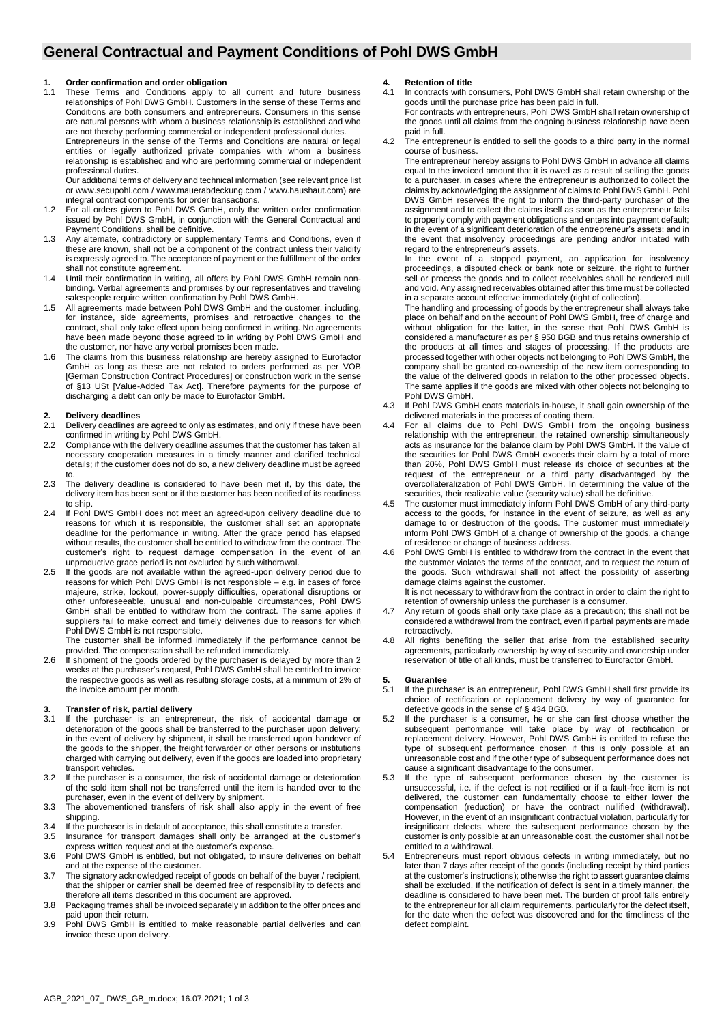# **General Contractual and Payment Conditions of Pohl DWS GmbH**

#### **1. Order confirmation and order obligation**

1.1 These Terms and Conditions apply to all current and future business relationships of Pohl DWS GmbH. Customers in the sense of these Terms and Conditions are both consumers and entrepreneurs. Consumers in this sense are natural persons with whom a business relationship is established and who are not thereby performing commercial or independent professional duties.

Entrepreneurs in the sense of the Terms and Conditions are natural or legal entities or legally authorized private companies with whom a business relationship is established and who are performing commercial or independent professional duties.

Our additional terms of delivery and technical information (see relevant price list or www.secupohl.com / www.mauerabdeckung.com / www.haushaut.com) are integral contract components for order transactions.

- 1.2 For all orders given to Pohl DWS GmbH, only the written order confirmation issued by Pohl DWS GmbH, in conjunction with the General Contractual and Payment Conditions, shall be definitive.
- 1.3 Any alternate, contradictory or supplementary Terms and Conditions, even if these are known, shall not be a component of the contract unless their validity is expressly agreed to. The acceptance of payment or the fulfillment of the order shall not constitute agreement.
- 1.4 Until their confirmation in writing, all offers by Pohl DWS GmbH remain nonbinding. Verbal agreements and promises by our representatives and traveling salespeople require written confirmation by Pohl DWS GmbH.
- 1.5 All agreements made between Pohl DWS GmbH and the customer, including, for instance, side agreements, promises and retroactive changes to the contract, shall only take effect upon being confirmed in writing. No agreements have been made beyond those agreed to in writing by Pohl DWS GmbH and the customer, nor have any verbal promises been made.
- 1.6 The claims from this business relationship are hereby assigned to Eurofactor GmbH as long as these are not related to orders performed as per VOB [German Construction Contract Procedures] or construction work in the sense of §13 USt [Value-Added Tax Act]. Therefore payments for the purpose of discharging a debt can only be made to Eurofactor GmbH.

#### **2. Delivery deadlines**

- 2.1 Delivery deadlines are agreed to only as estimates, and only if these have been confirmed in writing by Pohl DWS GmbH.
- 2.2 Compliance with the delivery deadline assumes that the customer has taken all necessary cooperation measures in a timely manner and clarified technical details; if the customer does not do so, a new delivery deadline must be agreed to.
- 2.3 The delivery deadline is considered to have been met if, by this date, the delivery item has been sent or if the customer has been notified of its readiness to ship.
- 2.4 If Pohl DWS GmbH does not meet an agreed-upon delivery deadline due to reasons for which it is responsible, the customer shall set an appropriate deadline for the performance in writing. After the grace period has elapsed without results, the customer shall be entitled to withdraw from the contract. The customer's right to request damage compensation in the event of an unproductive grace period is not excluded by such withdrawal.
- 2.5 If the goods are not available within the agreed-upon delivery period due to reasons for which Pohl DWS GmbH is not responsible – e.g. in cases of force majeure, strike, lockout, power-supply difficulties, operational disruptions or other unforeseeable, unusual and non-culpable circumstances, Pohl DWS GmbH shall be entitled to withdraw from the contract. The same applies if suppliers fail to make correct and timely deliveries due to reasons for which Pohl DWS GmbH is not responsible.

The customer shall be informed immediately if the performance cannot be provided. The compensation shall be refunded immediately.

2.6 If shipment of the goods ordered by the purchaser is delayed by more than 2 weeks at the purchaser's request, Pohl DWS GmbH shall be entitled to invoice the respective goods as well as resulting storage costs, at a minimum of 2% of the invoice amount per month.

### **3. Transfer of risk, partial delivery**

- 3.1 If the purchaser is an entrepreneur, the risk of accidental damage or deterioration of the goods shall be transferred to the purchaser upon delivery; in the event of delivery by shipment, it shall be transferred upon handover of the goods to the shipper, the freight forwarder or other persons or institutions charged with carrying out delivery, even if the goods are loaded into proprietary transport vehicles.
- 3.2 If the purchaser is a consumer, the risk of accidental damage or deterioration of the sold item shall not be transferred until the item is handed over to the purchaser, even in the event of delivery by shipment.
- 3.3 The abovementioned transfers of risk shall also apply in the event of free shipping.
- 3.4 If the purchaser is in default of acceptance, this shall constitute a transfer.
- 3.5 Insurance for transport damages shall only be arranged at the customer's express written request and at the customer's expense.
- 3.6 Pohl DWS GmbH is entitled, but not obligated, to insure deliveries on behalf and at the expense of the customer.
- 3.7 The signatory acknowledged receipt of goods on behalf of the buyer / recipient, that the shipper or carrier shall be deemed free of responsibility to defects and therefore all items described in this document are approved.
- 3.8 Packaging frames shall be invoiced separately in addition to the offer prices and paid upon their return.
- 3.9 Pohl DWS GmbH is entitled to make reasonable partial deliveries and can invoice these upon delivery.

#### **4. Retention of title**

- 4.1 In contracts with consumers, Pohl DWS GmbH shall retain ownership of the goods until the purchase price has been paid in full. For contracts with entrepreneurs, Pohl DWS GmbH shall retain ownership of the goods until all claims from the ongoing business relationship have been paid in full.
- 4.2 The entrepreneur is entitled to sell the goods to a third party in the normal course of business.

The entrepreneur hereby assigns to Pohl DWS GmbH in advance all claims equal to the invoiced amount that it is owed as a result of selling the goods to a purchaser, in cases where the entrepreneur is authorized to collect the claims by acknowledging the assignment of claims to Pohl DWS GmbH. Pohl DWS GmbH reserves the right to inform the third-party purchaser of the assignment and to collect the claims itself as soon as the entrepreneur fails to properly comply with payment obligations and enters into payment default; in the event of a significant deterioration of the entrepreneur's assets; and in the event that insolvency proceedings are pending and/or initiated with regard to the entrepreneur's assets.

In the event of a stopped payment, an application for insolvency proceedings, a disputed check or bank note or seizure, the right to further sell or process the goods and to collect receivables shall be rendered null and void. Any assigned receivables obtained after this time must be collected in a separate account effective immediately (right of collection).

The handling and processing of goods by the entrepreneur shall always take place on behalf and on the account of Pohl DWS GmbH, free of charge and without obligation for the latter, in the sense that Pohl DWS GmbH is considered a manufacturer as per § 950 BGB and thus retains ownership of the products at all times and stages of processing. If the products are processed together with other objects not belonging to Pohl DWS GmbH, the company shall be granted co-ownership of the new item corresponding to the value of the delivered goods in relation to the other processed objects. The same applies if the goods are mixed with other objects not belonging to Pohl DWS GmbH.

- 4.3 If Pohl DWS GmbH coats materials in-house, it shall gain ownership of the delivered materials in the process of coating them.
- 4.4 For all claims due to Pohl DWS GmbH from the ongoing business relationship with the entrepreneur, the retained ownership simultaneously acts as insurance for the balance claim by Pohl DWS GmbH. If the value of the securities for Pohl DWS GmbH exceeds their claim by a total of more than 20%, Pohl DWS GmbH must release its choice of securities at the request of the entrepreneur or a third party disadvantaged by the overcollateralization of Pohl DWS GmbH. In determining the value of the securities, their realizable value (security value) shall be definitive.
- The customer must immediately inform Pohl DWS GmbH of any third-party access to the goods, for instance in the event of seizure, as well as any damage to or destruction of the goods. The customer must immediately inform Pohl DWS GmbH of a change of ownership of the goods, a change of residence or change of business address.
- Pohl DWS GmbH is entitled to withdraw from the contract in the event that the customer violates the terms of the contract, and to request the return of the goods. Such withdrawal shall not affect the possibility of asserting damage claims against the customer. It is not necessary to withdraw from the contract in order to claim the right to

retention of ownership unless the purchaser is a consumer.

- 4.7 Any return of goods shall only take place as a precaution; this shall not be considered a withdrawal from the contract, even if partial payments are made retroactively.
- 4.8 All rights benefiting the seller that arise from the established security agreements, particularly ownership by way of security and ownership under reservation of title of all kinds, must be transferred to Eurofactor GmbH.

#### **5. Guarantee**

- 5.1 If the purchaser is an entrepreneur, Pohl DWS GmbH shall first provide its choice of rectification or replacement delivery by way of guarantee for defective goods in the sense of § 434 BGB.
- 5.2 If the purchaser is a consumer, he or she can first choose whether the subsequent performance will take place by way of rectification or replacement delivery. However, Pohl DWS GmbH is entitled to refuse the type of subsequent performance chosen if this is only possible at an unreasonable cost and if the other type of subsequent performance does not cause a significant disadvantage to the consumer.
- If the type of subsequent performance chosen by the customer is unsuccessful, i.e. if the defect is not rectified or if a fault-free item is not delivered, the customer can fundamentally choose to either lower the compensation (reduction) or have the contract nullified (withdrawal). However, in the event of an insignificant contractual violation, particularly for insignificant defects, where the subsequent performance chosen by the customer is only possible at an unreasonable cost, the customer shall not be entitled to a withdrawal.
- 5.4 Entrepreneurs must report obvious defects in writing immediately, but no later than 7 days after receipt of the goods (including receipt by third parties at the customer's instructions); otherwise the right to assert guarantee claims shall be excluded. If the notification of defect is sent in a timely manner, the deadline is considered to have been met. The burden of proof falls entirely to the entrepreneur for all claim requirements, particularly for the defect itself, for the date when the defect was discovered and for the timeliness of the defect complaint.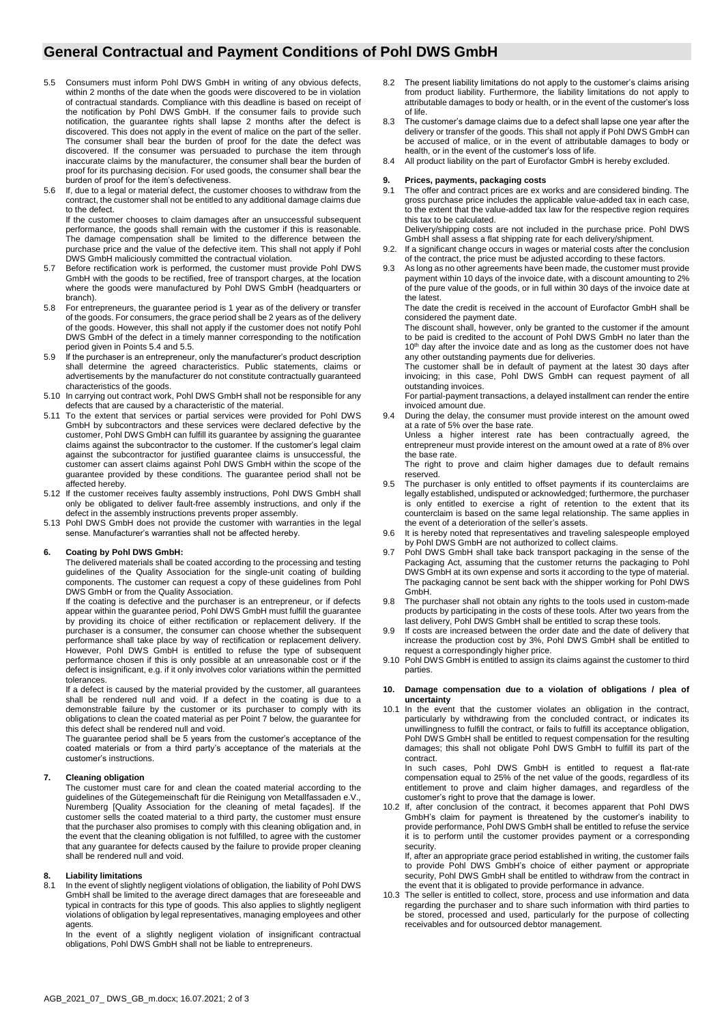## **General Contractual and Payment Conditions of Pohl DWS GmbH**

- 5.5 Consumers must inform Pohl DWS GmbH in writing of any obvious defects, within 2 months of the date when the goods were discovered to be in violation of contractual standards. Compliance with this deadline is based on receipt of the notification by Pohl DWS GmbH. If the consumer fails to provide such notification, the guarantee rights shall lapse 2 months after the defect is discovered. This does not apply in the event of malice on the part of the seller. The consumer shall bear the burden of proof for the date the defect was discovered. If the consumer was persuaded to purchase the item through inaccurate claims by the manufacturer, the consumer shall bear the burden of proof for its purchasing decision. For used goods, the consumer shall bear the burden of proof for the item's defectiveness.
- 5.6 If, due to a legal or material defect, the customer chooses to withdraw from the contract, the customer shall not be entitled to any additional damage claims due to the defect.

If the customer chooses to claim damages after an unsuccessful subsequent performance, the goods shall remain with the customer if this is reasonable. The damage compensation shall be limited to the difference between the purchase price and the value of the defective item. This shall not apply if Pohl DWS GmbH maliciously committed the contractual violation.

- 5.7 Before rectification work is performed, the customer must provide Pohl DWS GmbH with the goods to be rectified, free of transport charges, at the location where the goods were manufactured by Pohl DWS GmbH (headquarters or branch).
- 5.8 For entrepreneurs, the guarantee period is 1 year as of the delivery or transfer of the goods. For consumers, the grace period shall be 2 years as of the delivery of the goods. However, this shall not apply if the customer does not notify Pohl DWS GmbH of the defect in a timely manner corresponding to the notification period given in Points 5.4 and 5.5.
- 5.9 If the purchaser is an entrepreneur, only the manufacturer's product description shall determine the agreed characteristics. Public statements, claims or advertisements by the manufacturer do not constitute contractually guaranteed characteristics of the goods.
- 5.10 In carrying out contract work, Pohl DWS GmbH shall not be responsible for any defects that are caused by a characteristic of the material.
- 5.11 To the extent that services or partial services were provided for Pohl DWS GmbH by subcontractors and these services were declared defective by the customer, Pohl DWS GmbH can fulfill its guarantee by assigning the guarantee claims against the subcontractor to the customer. If the customer's legal claim against the subcontractor for justified guarantee claims is unsuccessful, the customer can assert claims against Pohl DWS GmbH within the scope of the guarantee provided by these conditions. The guarantee period shall not be affected hereby.
- 5.12 If the customer receives faulty assembly instructions, Pohl DWS GmbH shall only be obligated to deliver fault-free assembly instructions, and only if the defect in the assembly instructions prevents proper assembly.
- 5.13 Pohl DWS GmbH does not provide the customer with warranties in the legal sense. Manufacturer's warranties shall not be affected hereby.

#### **6. Coating by Pohl DWS GmbH:**

The delivered materials shall be coated according to the processing and testing guidelines of the Quality Association for the single-unit coating of building components. The customer can request a copy of these guidelines from Pohl DWS GmbH or from the Quality Association.

If the coating is defective and the purchaser is an entrepreneur, or if defects appear within the guarantee period, Pohl DWS GmbH must fulfill the guarantee by providing its choice of either rectification or replacement delivery. If the purchaser is a consumer, the consumer can choose whether the subsequent performance shall take place by way of rectification or replacement delivery. However, Pohl DWS GmbH is entitled to refuse the type of subsequent performance chosen if this is only possible at an unreasonable cost or if the defect is insignificant, e.g. if it only involves color variations within the permitted tolerances.

If a defect is caused by the material provided by the customer, all guarantees shall be rendered null and void. If a defect in the coating is due to a demonstrable failure by the customer or its purchaser to comply with its obligations to clean the coated material as per Point 7 below, the guarantee for this defect shall be rendered null and void.

The guarantee period shall be 5 years from the customer's acceptance of the coated materials or from a third party's acceptance of the materials at the customer's instructions.

#### **7. Cleaning obligation**

The customer must care for and clean the coated material according to the guidelines of the Gütegemeinschaft für die Reinigung von Metallfassaden e.V., Nuremberg [Quality Association for the cleaning of metal façades]. If the customer sells the coated material to a third party, the customer must ensure that the purchaser also promises to comply with this cleaning obligation and, in the event that the cleaning obligation is not fulfilled, to agree with the customer that any guarantee for defects caused by the failure to provide proper cleaning shall be rendered null and void.

## **8. Liability limitations**

In the event of slightly negligent violations of obligation, the liability of Pohl DWS GmbH shall be limited to the average direct damages that are foreseeable and typical in contracts for this type of goods. This also applies to slightly negligent violations of obligation by legal representatives, managing employees and other agents.

In the event of a slightly negligent violation of insignificant contractual obligations, Pohl DWS GmbH shall not be liable to entrepreneurs.

- 8.2 The present liability limitations do not apply to the customer's claims arising from product liability. Furthermore, the liability limitations do not apply to attributable damages to body or health, or in the event of the customer's loss of life.
- 8.3 The customer's damage claims due to a defect shall lapse one year after the delivery or transfer of the goods. This shall not apply if Pohl DWS GmbH can be accused of malice, or in the event of attributable damages to body or health, or in the event of the customer's loss of life.
- 8.4 All product liability on the part of Eurofactor GmbH is hereby excluded.

# **9. Prices, payments, packaging costs**

- The offer and contract prices are ex works and are considered binding. The gross purchase price includes the applicable value-added tax in each case, to the extent that the value-added tax law for the respective region requires this tax to be calculated.
- Delivery/shipping costs are not included in the purchase price. Pohl DWS GmbH shall assess a flat shipping rate for each delivery/shipment. 9.2. If a significant change occurs in wages or material costs after the conclusion
- of the contract, the price must be adjusted according to these factors.
- 9.3 As long as no other agreements have been made, the customer must provide payment within 10 days of the invoice date, with a discount amounting to 2% of the pure value of the goods, or in full within 30 days of the invoice date at the latest.

The date the credit is received in the account of Eurofactor GmbH shall be considered the payment date.

The discount shall, however, only be granted to the customer if the amount to be paid is credited to the account of Pohl DWS GmbH no later than the 10<sup>th</sup> day after the invoice date and as long as the customer does not have any other outstanding payments due for deliveries.

The customer shall be in default of payment at the latest 30 days after invoicing; in this case, Pohl DWS GmbH can request payment of all outstanding invoices.

For partial-payment transactions, a delayed installment can render the entire invoiced amount due.

During the delay, the consumer must provide interest on the amount owed at a rate of 5% over the base rate. Unless a higher interest rate has been contractually agreed, the entrepreneur must provide interest on the amount owed at a rate of 8% over the base rate.

The right to prove and claim higher damages due to default remains reserved.

- The purchaser is only entitled to offset payments if its counterclaims are legally established, undisputed or acknowledged; furthermore, the purchaser is only entitled to exercise a right of retention to the extent that its counterclaim is based on the same legal relationship. The same applies in the event of a deterioration of the seller's assets.
- 9.6 It is hereby noted that representatives and traveling salespeople employed by Pohl DWS GmbH are not authorized to collect claims.
- 9.7 Pohl DWS GmbH shall take back transport packaging in the sense of the Packaging Act, assuming that the customer returns the packaging to Pohl DWS GmbH at its own expense and sorts it according to the type of material. The packaging cannot be sent back with the shipper working for Pohl DWS GmbH.
- 9.8 The purchaser shall not obtain any rights to the tools used in custom-made products by participating in the costs of these tools. After two years from the last delivery, Pohl DWS GmbH shall be entitled to scrap these tools.
- If costs are increased between the order date and the date of delivery that increase the production cost by 3%, Pohl DWS GmbH shall be entitled to request a correspondingly higher price.
- 9.10 Pohl DWS GmbH is entitled to assign its claims against the customer to third parties.

#### **10. Damage compensation due to a violation of obligations / plea of uncertainty**

10.1 In the event that the customer violates an obligation in the contract, particularly by withdrawing from the concluded contract, or indicates its unwillingness to fulfill the contract, or fails to fulfill its acceptance obligation, Pohl DWS GmbH shall be entitled to request compensation for the resulting damages; this shall not obligate Pohl DWS GmbH to fulfill its part of the contract.

In such cases, Pohl DWS GmbH is entitled to request a flat-rate compensation equal to 25% of the net value of the goods, regardless of its entitlement to prove and claim higher damages, and regardless of the customer's right to prove that the damage is lower.

10.2 If, after conclusion of the contract, it becomes apparent that Pohl DWS GmbH's claim for payment is threatened by the customer's inability to provide performance, Pohl DWS GmbH shall be entitled to refuse the service it is to perform until the customer provides payment or a corresponding security.

If, after an appropriate grace period established in writing, the customer fails to provide Pohl DWS GmbH's choice of either payment or appropriate security, Pohl DWS GmbH shall be entitled to withdraw from the contract in the event that it is obligated to provide performance in advance.

10.3 The seller is entitled to collect, store, process and use information and data regarding the purchaser and to share such information with third parties to be stored, processed and used, particularly for the purpose of collecting receivables and for outsourced debtor management.